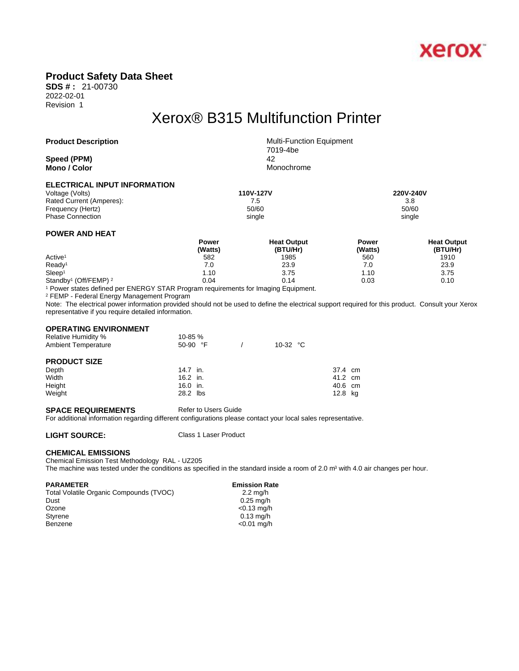

### **Product Safety Data Sheet**

**SDS # :** 21-00730 2022-02-01 Revision 1

## Xerox® B315 Multifunction Printer

**Speed (PPM)** 42 **Mono** / **Color** Monochrome

**Product Description** Multi-Function Equipment 7019-4be

### **ELECTRICAL INPUT INFORMATION**

Voltage (Volts) **110V-127V 220V-240V**  Rated Current (Amperes): The Contract of Current (Amperes): The Contract of Contract of Contract of Contract of Contract of Contract of Contract of Contract of Contract of Contract of Contract of Contract of Contract of Co Frequency (Hertz) Phase Connection single single single single single single single single single single

### **POWER AND HEAT**

|                                              | Power   | <b>Heat Output</b> | Power   | <b>Heat Output</b> |  |
|----------------------------------------------|---------|--------------------|---------|--------------------|--|
|                                              | (Watts) | (BTU/Hr)           | (Watts) | (BTU/Hr)           |  |
| Active <sup>1</sup>                          | 582     | 1985               | 560     | 1910               |  |
| Ready <sup>1</sup>                           | 7.0     | 23.9               | 7.0     | 23.9               |  |
| Sleep <sup>1</sup>                           | 1.10    | 3.75               | 10،،    | 3.75               |  |
| Standby <sup>1</sup> (Off/FEMP) <sup>2</sup> | 0.04    | 0.14               | 0.03    | 0.10               |  |

1 Power states defined per ENERGY STAR Program requirements for Imaging Equipment.

2 FEMP - Federal Energy Management Program

Note: The electrical power information provided should not be used to define the electrical support required for this product. Consult your Xerox representative if you require detailed information.

### **OPERATING ENVIRONMENT**

| <b>Relative Humidity %</b> | 10-85 %    |                   |         |  |
|----------------------------|------------|-------------------|---------|--|
| <b>Ambient Temperature</b> | $50-90$ °F | 10-32 $\degree$ C |         |  |
| <b>PRODUCT SIZE</b>        |            |                   |         |  |
| Depth                      | 14.7 in.   |                   | 37.4 cm |  |
| Width                      | 16.2 in.   |                   | 41.2 cm |  |
| Height                     | 16.0 in.   |                   | 40.6 cm |  |
| Weight                     | 28.2 lbs   |                   | 12.8 kg |  |

### **SPACE REQUIREMENTS** Refer to Users Guide

For additional information regarding different configurations please contact your local sales representative.

**LIGHT SOURCE:** Class 1 Laser Product

### **CHEMICAL EMISSIONS**

Chemical Emission Test Methodology RAL - UZ205

The machine was tested under the conditions as specified in the standard inside a room of 2.0  $m<sup>3</sup>$  with 4.0 air changes per hour.

**PARAMETER Emission Rate**<br>Total Volatile Organic Compounds (TVOC) **Emission Rate** 2.2 mg/h Total Volatile Organic Compounds (TVOC) Dust 0.25 mg/h Ozone <0.13 mg/h Styrene 0.13 mg/h<br>Benzene 2001 - 2001 March 2003<br>C0.01 mg/h

 $<$ 0.01 mg/h